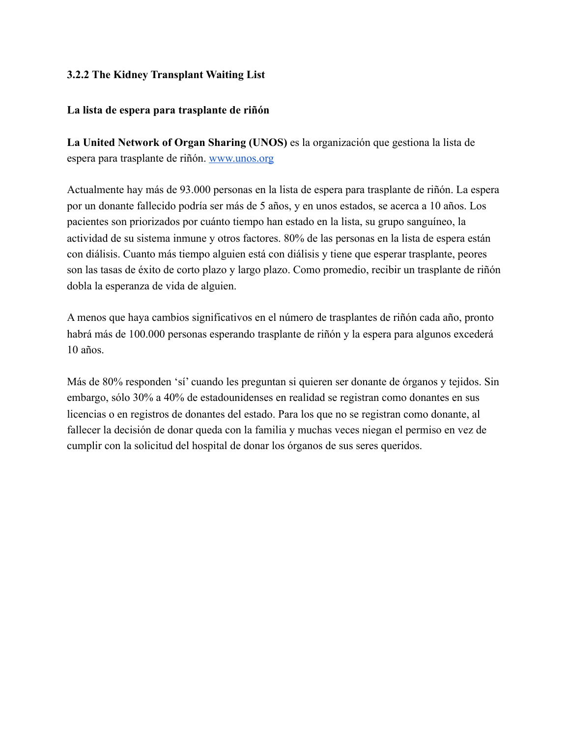## **3.2.2 The Kidney Transplant Waiting List**

## **La lista de espera para trasplante de riñón**

**La United Network of Organ Sharing (UNOS)** es la organización que gestiona la lista de espera para trasplante de riñón. www.unos.org

Actualmente hay más de 93.000 personas en la lista de espera para trasplante de riñón. La espera por un donante fallecido podría ser más de 5 años, y en unos estados, se acerca a 10 años. Los pacientes son priorizados por cuánto tiempo han estado en la lista, su grupo sanguíneo, la actividad de su sistema inmune y otros factores. 80% de las personas en la lista de espera están con diálisis. Cuanto más tiempo alguien está con diálisis y tiene que esperar trasplante, peores son las tasas de éxito de corto plazo y largo plazo. Como promedio, recibir un trasplante de riñón dobla la esperanza de vida de alguien.

A menos que haya cambios significativos en el número de trasplantes de riñón cada año, pronto habrá más de 100.000 personas esperando trasplante de riñón y la espera para algunos excederá 10 años.

Más de 80% responden 'sí' cuando les preguntan si quieren ser donante de órganos y tejidos. Sin embargo, sólo 30% a 40% de estadounidenses en realidad se registran como donantes en sus licencias o en registros de donantes del estado. Para los que no se registran como donante, al fallecer la decisión de donar queda con la familia y muchas veces niegan el permiso en vez de cumplir con la solicitud del hospital de donar los órganos de sus seres queridos.